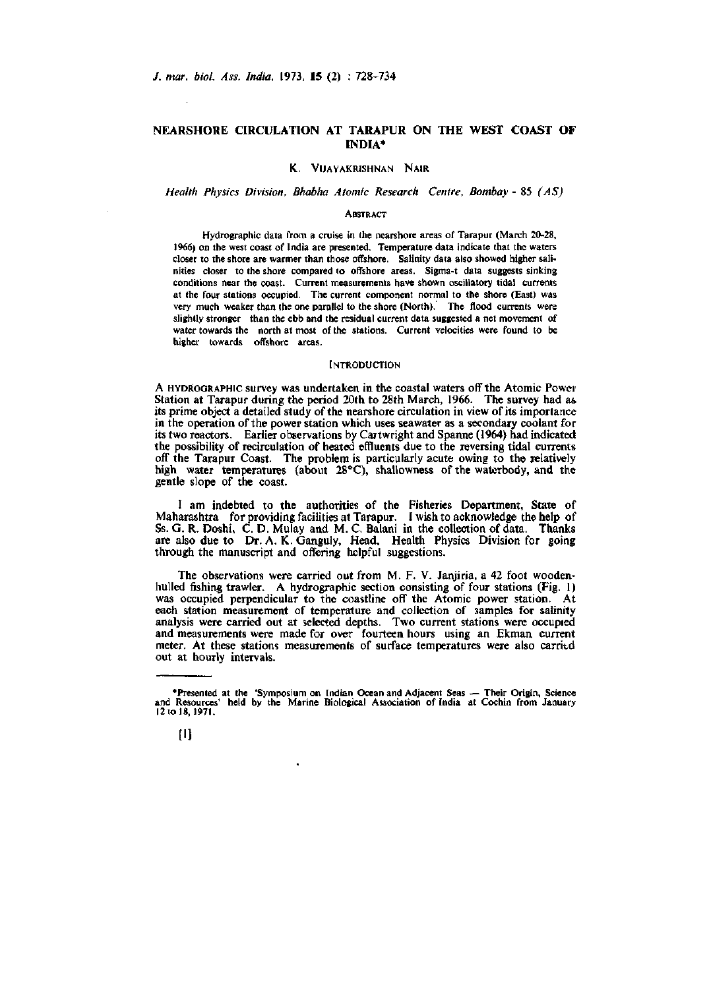# **NEARSHORE CIRCULATION AT TARAPUR ON THE WEST COAST OF INDIA\***

### *Health Physics Division, Bhabha Atomic Research Centre, Bombay -* 85 *(AS)*

#### **ABSTRACT**

Hydrographic data from a cruise in the nearshore areas of Tarapur (March 20-28, 1966) on the west coast of India are presented. Temperature data indicate that the waters closer to the shore are warmer than those offshore. Salinity data also showed higher salinities closer to the shore compared to offshore areas. Sigma-t data suggests sinking conditions near the coast. Current measurements have shown oscillatory tidal currents at the four stations occupied. The current component normal to the shore (East) was very much weaker than the one parallel to the shore (North). The flood currents were slightly stronger than the ebb and the residual current data suggested a net movement of water towards the north at most of the stations. Current velocities were found to be higher towards offshore areas.

#### **INTRODUCTION**

A HYDKOGRAPHIC survey was undertaken in the coastal waters off the Atomic Power Station at Tarapur during the period 20th to 28th March, 1966. The survey had a& its prime object a detailed study of the nearshore circulation in view of its importance in the operation of the power station which uses seawater as a secondary coolant for its two reactors. Earlier observations by Cartwright and Spanne (1964) had indicated the possibility of recirculation of heated effluents due to the reversing tidal currents off the Tarapur Coast. The problem is particularly acute owing to the relatively high water temperatures (about 28°C), shallowness of the waterbody, and the gentle slope of the coast.

I am indebted to the authorities of the Fisheries Department, State of Maharashtra for providing facilities at Tarapur. I wish to acknowledge the help of Ss. G. R. Doshi, C. D. Mulay and M. C. Balani in the collection of data. Thanks are also due to Dr. A. K. Ganguly, Head, Health Physics Division for going through the manuscript and offering helpful suggestions.

The observations were carried out from M. F. V. Janjiria, a 42 foot woodenhulled fishing trawler. A hydrographic section consisting of four stations (Fig. 1) was occupied perpendicular to the coastline off the Atomic power station. At each station measurement of temperature and collection of samples for salinity analysis were carried out at selected depths. Two current stations were occupied and measurements were made for over fourteen hours using an Ekman current meter. At these stations measurements of surface temperatures were also carried out at hourly intervals.

<sup>•</sup>Presented at the 'Symposium on Indian Ocean and Adjacent Seas — Their Origin, Science and Resources' held by the Marine Biological Association of India at Cochin from January 12tol8,1971.

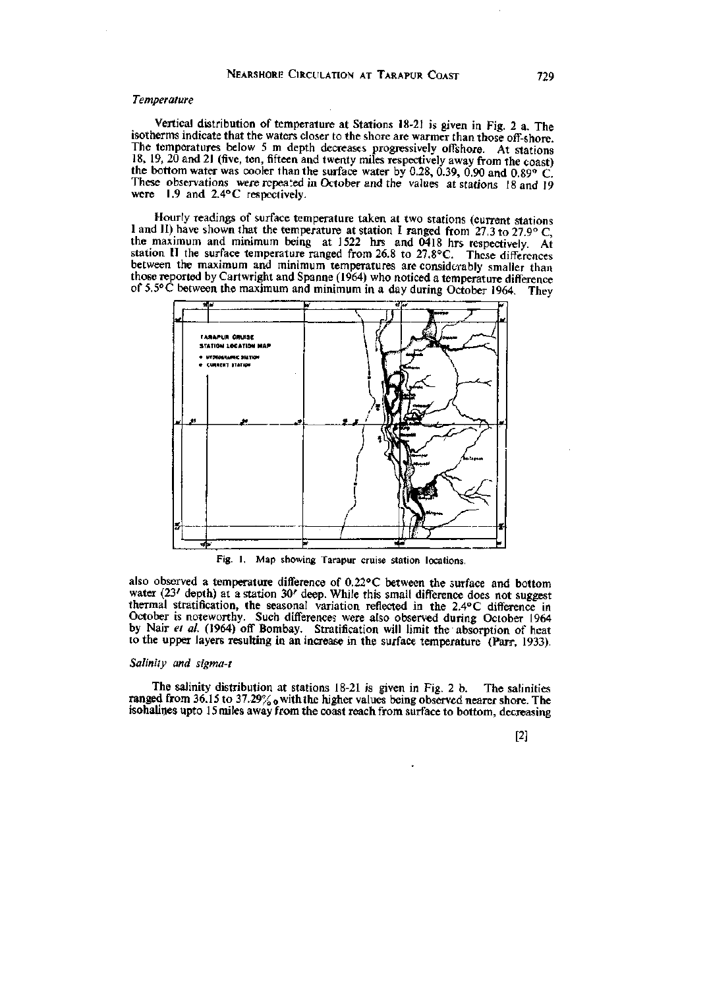# *Temperature*

Vertical distribution of temperature at Stations 18-21 is given in Fig. 2 a. The isotherms indicate that the waters closer to the shore are warmer than those off-shore. The temperatures below 5 m depth decreases progressively offshore. At stations 18, 19, 20 and 21 (five, ten, fifteen and twenty miles respectively away from the coast) the bottom water was cooler than the surface water by 0.28, 0.39, 0.90 and 0.89° C. These observations were repeated in October and the values at stations 18 and 19 were 1.9 and 2.4° C respectively.

Hourly readings of surface temperature taken at two stations (current stations I and II) have shown that the temperature at station I ranged from 27.3 to 27.9° C, the maximum and minimum being at 1522 hrs and 0418 hrs respectively. At station II the surface temperature ranged from 26.8 to 27.8°C. These differences between the maximum and minimum temperatures are considerably smaller than those reported by Cartwright and Spanne (1964) who noticed a temperature difference of 5.5°C between the maximum and minimum in a day during October 1964. They



Fig. 1. Map showing Tarapur cruise station locations.

also observed a temperature difference of 0.22° C between the surface and bottom water (23' depth) at a station 30' deep. While this small difference does not suggest thermal stratification, the seasonal variation reflected in the 2.4° C difference in October is noteworthy. Such differences were also observed during October 1964 by Nair *et al.* (1964) off Bombay. Stratification will limit the absorption of heat to the upper layers resulting in an increase in the surface temperature (Parr, 1933).

# *Salinity and sigma-t*

The salinity distribution at stations 18-21 is given in Fig. 2 b. The salinities ranged from 36.15 to 37.29%  $_0$  with the higher values being observed nearer shore. The isohalines upto 15 miles away from the coast reach from surface to bottom, decreasing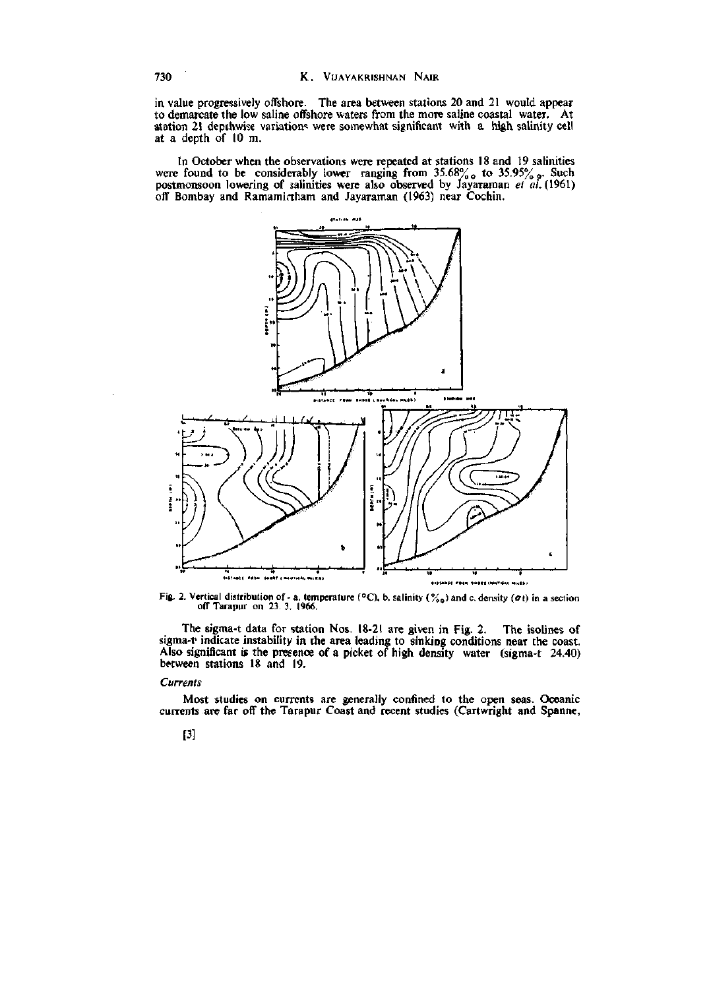in value progressively offshore. The area between stations 20 and 21 would appear to demarcate the low saline offshore waters from the more saline coastal water. At station 21 depthwise variations were somewhat significant with a high salinity cell at a depth of 10 m.

In October when the observations were repeated at stations 18 and 19 salinities were found to be considerably lower ranging from  $35.68\%$  to  $35.95\%$  . Such postmonsoon lowefing of salinities were also observed by Jayaraman *et al.* (1961) off Bombay and Ramamirtham and Jayaraman (1963) near Cochin.



Fig. 2. Vertical distribution of - a. temperature (°C), b. salinity (%<sub>0</sub>) and c. density ( $\sigma$ t) in a section of Tarapur on 23. 3. 1966.

The sigma-t data for station Nos. 18-21 are given in Fig. 2. The isolines of sigma-t' indicate instability in the area leading to sinking conditions near the coast. Also significant is the presence of a picket of high density water (sigma-t 24.40) between stations 18 and 19.

# *Currents*

Most studies on currents are generally confined to the open seas. Oceanic currents are far off the Tarapur Coast and recent studies (Cartwright and Spanne,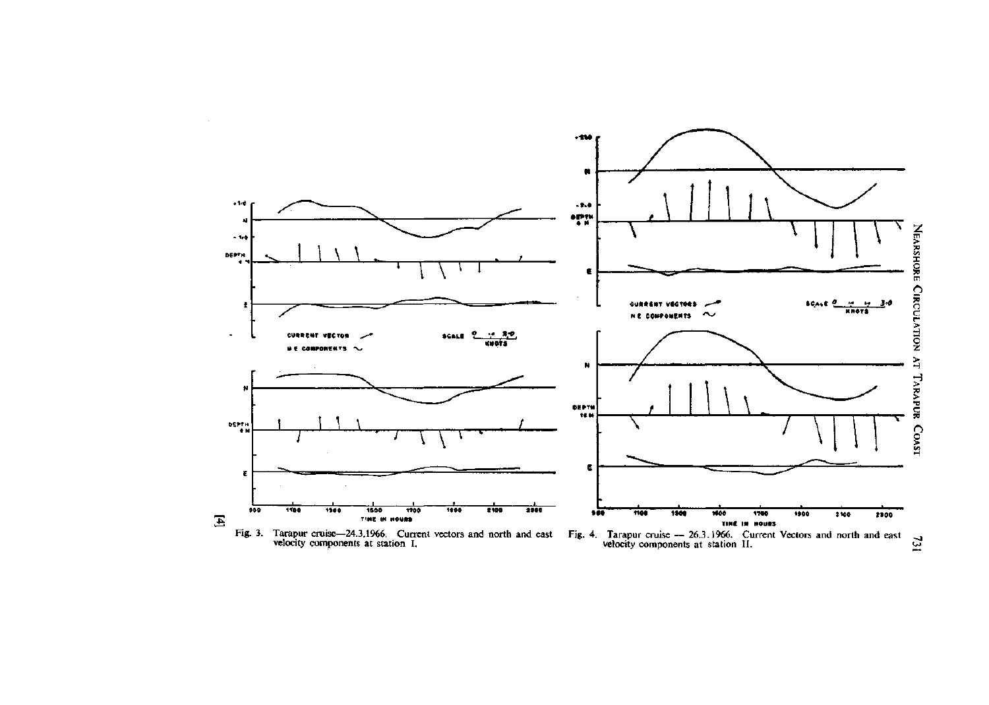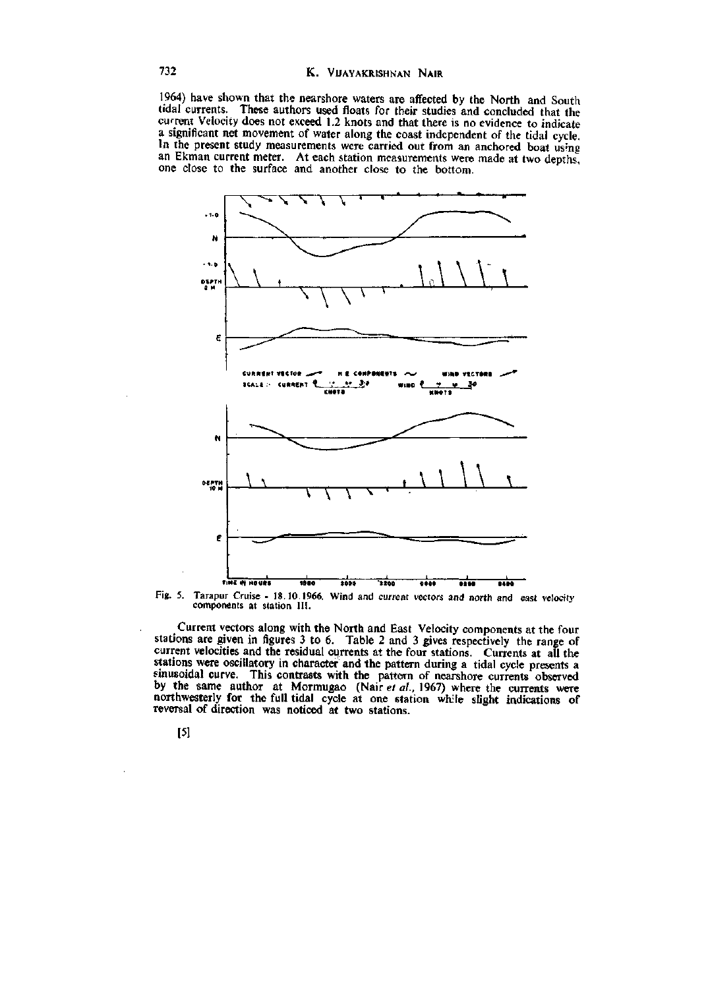1964) have shown that the nearshore waters are affected by the North and South tidal currents. These authors used floats for their studies and concluded that the current Velocity does not exceed 1.2 knots and that there is no evidence to indicate a significant net movement of water along the coast independent of the tidal cycle. In the present study measurements were carried out from an anchored boat using an Ekman current meter. At each station measurements were made at two depths, one close to the surface and another close to the bottom.



Fig. 5. Tarapur Cruise - 18.10.1966. Wind and current vectors and north and east velocity components at station III.

Current vectors along with the North and East Velocity components at the four stations are given in figures 3 to 6. Table 2 and 3 gives respectively the range of current velocities and the residual currents at the four stations. Currents at all the stations were oscillatory in character and the pattern during a tidal cycle presents a sinusoidal curve. This contrasts with the pattern of nearshore currents observed by the same author at Mormugao (Nair *et al,* 1967) where the currents were northwesterly for the full tidal cycle at one station wh:le slight indications of reversal of direction was noticed at two stations.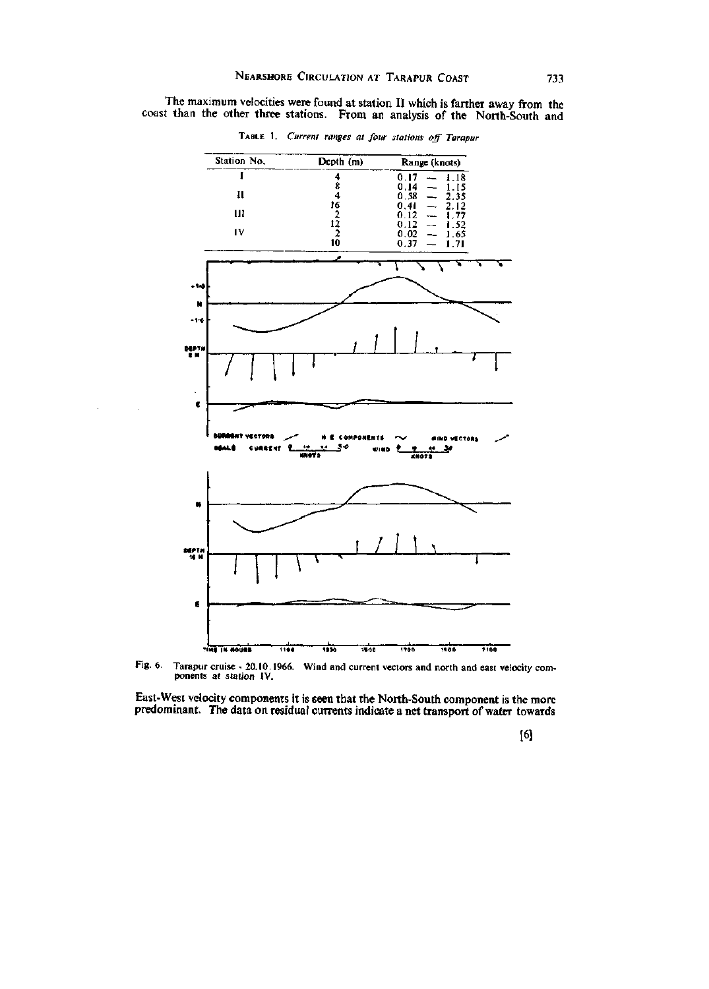The maximum velocities were found at station II which is farther away from the coast than the other three stations. From an analysis of the North-South and

Station No. Depth (m) Range (knots) 1 4  $0.17 - 1.18$  $0.14$ <br>0.58<br>0.41<br>0.12<br>0.12<br>0.02<br>0.37  $\frac{8}{1}$ 0.14 — 1.15  $-1.15$ <br> $-2.35$ <br> $-1.52$ <br> $-1.52$ <br> $-1.65$ <br> $-1.71$ II  $\overline{4}$  $0.58 - 2.35$ 16<br>.2  $\frac{0.41}{0.12}$   $\frac{2.12}{1.77}$ III 12 IV  $rac{2}{2}$ 1.71 10 *\ \ \*  **»1<0 N**   $-1 - 0$ 7TTT *i l <sup>l</sup><sup>I</sup>* **MPTM**   $\pmb{\epsilon}$ **I i i i i i** COMPONENTS  $\sim$  *MIND yECTOR* **MALE** CURRENT **- i ! J \* tfiNB** *P <t* **«.' 3»**   $\blacksquare$ **10 M n** *\ n \ y*  **MPT H**   $\frac{1}{1700}$ **^in i IH HOuat**   $1100$ 1300 1500  $1900$  $7100$ 

TABLE 1. *Current ranges at four stations off Tarapur* 

Fig. 6. Tarapur cruise - 20.10.1966. Wind and current vectors and north and east velocity com-ponents at station IV.

East-West velocity components it is seen that the North-South component is the more predominant. The data on residual currents indicate a net transport of water towards